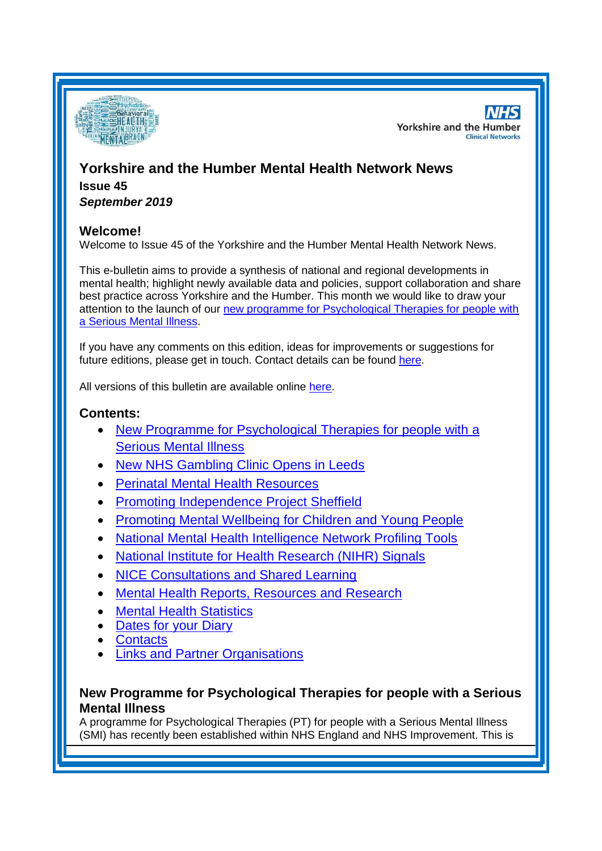

**NHS Yorkshire and the Humber Clinical Networks** 

# **Yorkshire and the Humber Mental Health Network News Issue 45** *September 2019*

## **Welcome!**

Welcome to Issue 45 of the Yorkshire and the Humber Mental Health Network News.

This e-bulletin aims to provide a synthesis of national and regional developments in mental health; highlight newly available data and policies, support collaboration and share best practice across Yorkshire and the Humber. This month we would like to draw your attention to the launch of our [new programme for Psychological Therapies for people with](#page-0-0)  [a Serious Mental Illness.](#page-0-0)

If you have any comments on this edition, ideas for improvements or suggestions for future editions, please get in touch. Contact details can be found [here.](#page-7-0)

All versions of this bulletin are available online [here.](http://www.yhscn.nhs.uk/mental-health-clinic/mental-health-network/MH-documents-and-links.php)

## **Contents:**

- [New Programme for Psychological Therapies for people with a](#page-0-0)  [Serious Mental Illness](#page-0-0)
- **[New NHS Gambling Clinic Opens in Leeds](#page-1-0)**
- [Perinatal Mental Health Resources](#page-2-0)
- [Promoting Independence Project Sheffield](#page-2-1)
- [Promoting Mental Wellbeing for Children and Young People](#page-2-2)
- [National Mental Health Intelligence Network Profiling Tools](#page-0-0)
- [National Institute for Health Research \(NIHR\) Signals](#page-3-0)
- NICE Consultations and Shared Learning
- [Mental Health Reports, Resources and Research](#page-3-0)
- **[Mental Health Statistics](#page-5-0)**
- **[Dates for your Diary](#page-5-1)**
- **[Contacts](#page-7-0)**
- [Links and Partner Organisations](#page-7-1)

## <span id="page-0-0"></span>**New Programme for Psychological Therapies for people with a Serious Mental Illness**

A programme for Psychological Therapies (PT) for people with a Serious Mental Illness (SMI) has recently been established within NHS England and NHS Improvement. This is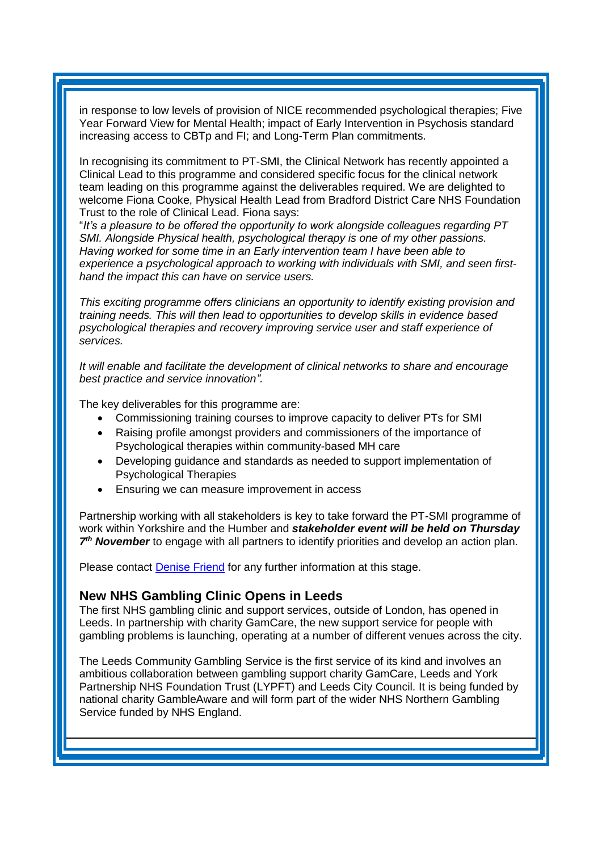in response to low levels of provision of NICE recommended psychological therapies; Five Year Forward View for Mental Health; impact of Early Intervention in Psychosis standard increasing access to CBTp and FI; and Long-Term Plan commitments.

In recognising its commitment to PT-SMI, the Clinical Network has recently appointed a Clinical Lead to this programme and considered specific focus for the clinical network team leading on this programme against the deliverables required. We are delighted to welcome Fiona Cooke, Physical Health Lead from Bradford District Care NHS Foundation Trust to the role of Clinical Lead. Fiona says:

"*It's a pleasure to be offered the opportunity to work alongside colleagues regarding PT SMI. Alongside Physical health, psychological therapy is one of my other passions. Having worked for some time in an Early intervention team I have been able to experience a psychological approach to working with individuals with SMI, and seen firsthand the impact this can have on service users.*

*This exciting programme offers clinicians an opportunity to identify existing provision and training needs. This will then lead to opportunities to develop skills in evidence based psychological therapies and recovery improving service user and staff experience of services.*

*It will enable and facilitate the development of clinical networks to share and encourage best practice and service innovation".*

The key deliverables for this programme are:

- Commissioning training courses to improve capacity to deliver PTs for SMI
- Raising profile amongst providers and commissioners of the importance of Psychological therapies within community-based MH care
- Developing guidance and standards as needed to support implementation of Psychological Therapies
- Ensuring we can measure improvement in access

Partnership working with all stakeholders is key to take forward the PT-SMI programme of work within Yorkshire and the Humber and *stakeholder event will be held on Thursday*  7<sup>th</sup> November to engage with all partners to identify priorities and develop an action plan.

Please contact [Denise Friend](mailto:denise.friend@nhs.net) for any further information at this stage.

### <span id="page-1-0"></span>**New NHS Gambling Clinic Opens in Leeds**

The first NHS gambling clinic and support services, outside of London, has opened in Leeds. In partnership with charity GamCare, the new support service for people with gambling problems is launching, operating at a number of different venues across the city.

The Leeds Community Gambling Service is the first service of its kind and involves an ambitious collaboration between gambling support charity GamCare, Leeds and York Partnership NHS Foundation Trust (LYPFT) and Leeds City Council. It is being funded by national charity GambleAware and will form part of the wider NHS Northern Gambling Service funded by NHS England.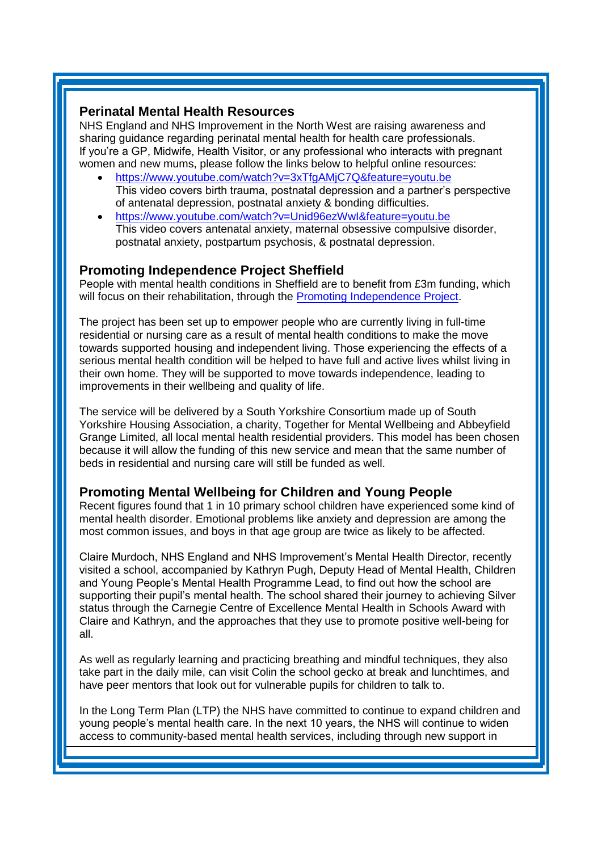#### <span id="page-2-0"></span>**Perinatal Mental Health Resources**

NHS England and NHS Improvement in the North West are raising awareness and sharing guidance regarding perinatal mental health for health care professionals. If you're a GP, Midwife, Health Visitor, or any professional who interacts with pregnant women and new mums, please follow the links below to helpful online resources:

- <https://www.youtube.com/watch?v=3xTfgAMjC7Q&feature=youtu.be> This video covers birth trauma, postnatal depression and a partner's perspective of antenatal depression, postnatal anxiety & bonding difficulties.
- <https://www.youtube.com/watch?v=Unid96ezWwI&feature=youtu.be> This video covers antenatal anxiety, maternal obsessive compulsive disorder, postnatal anxiety, postpartum psychosis, & postnatal depression.

### <span id="page-2-1"></span>**Promoting Independence Project Sheffield**

People with mental health conditions in Sheffield are to benefit from £3m funding, which will focus on their rehabilitation, through the [Promoting Independence Project.](https://www.sheffieldccg.nhs.uk/news/3-million-for-mental-health-Promoting-Independence-Project.htm)

The project has been set up to empower people who are currently living in full-time residential or nursing care as a result of mental health conditions to make the move towards supported housing and independent living. Those experiencing the effects of a serious mental health condition will be helped to have full and active lives whilst living in their own home. They will be supported to move towards independence, leading to improvements in their wellbeing and quality of life.

The service will be delivered by a South Yorkshire Consortium made up of South Yorkshire Housing Association, a charity, Together for Mental Wellbeing and Abbeyfield Grange Limited, all local mental health residential providers. This model has been chosen because it will allow the funding of this new service and mean that the same number of beds in residential and nursing care will still be funded as well.

## <span id="page-2-2"></span>**Promoting Mental Wellbeing for Children and Young People**

Recent figures found that 1 in 10 primary school children have experienced some kind of mental health disorder. Emotional problems like anxiety and depression are among the most common issues, and boys in that age group are twice as likely to be affected.

Claire Murdoch, NHS England and NHS Improvement's Mental Health Director, recently visited a school, accompanied by Kathryn Pugh, Deputy Head of Mental Health, Children and Young People's Mental Health Programme Lead, to find out how the school are supporting their pupil's mental health. The school shared their journey to achieving Silver status through the Carnegie Centre of Excellence Mental Health in Schools Award with Claire and Kathryn, and the approaches that they use to promote positive well-being for all.

As well as regularly learning and practicing breathing and mindful techniques, they also take part in the daily mile, can visit Colin the school gecko at break and lunchtimes, and have peer mentors that look out for vulnerable pupils for children to talk to.

In the Long Term Plan (LTP) the NHS have committed to continue to expand children and young people's mental health care. In the next 10 years, the NHS will continue to widen access to community-based mental health services, including through new support in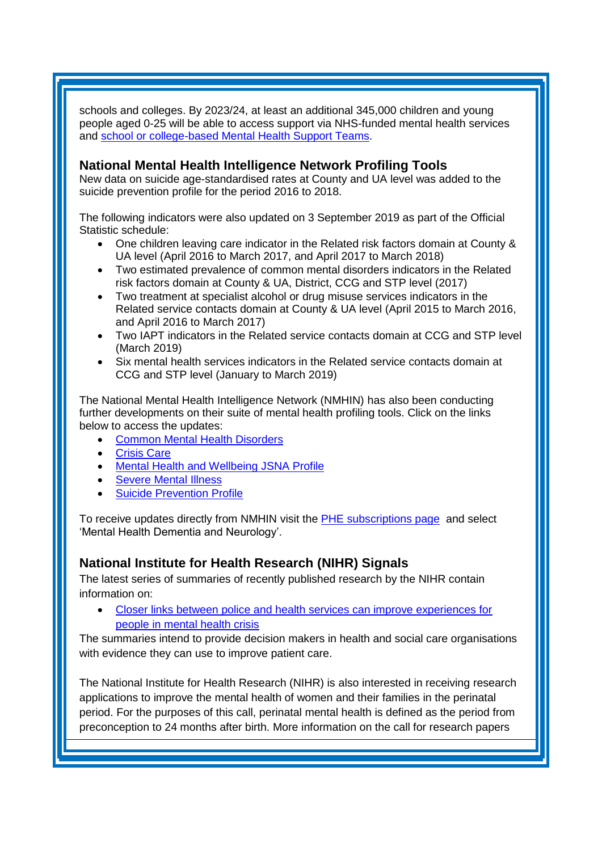schools and colleges. By 2023/24, at least an additional 345,000 children and young people aged 0-25 will be able to access support via NHS-funded mental health services and [school or college-based Mental Health Support Teams.](https://www.england.nhs.uk/mental-health/cyp/trailblazers/)

## **National Mental Health Intelligence Network Profiling Tools**

New data on suicide age-standardised rates at County and UA level was added to the suicide prevention profile for the period 2016 to 2018.

The following indicators were also updated on 3 September 2019 as part of the Official Statistic schedule:

- One children leaving care indicator in the Related risk factors domain at County & UA level (April 2016 to March 2017, and April 2017 to March 2018)
- Two estimated prevalence of common mental disorders indicators in the Related risk factors domain at County & UA, District, CCG and STP level (2017)
- Two treatment at specialist alcohol or drug misuse services indicators in the Related service contacts domain at County & UA level (April 2015 to March 2016, and April 2016 to March 2017)
- Two IAPT indicators in the Related service contacts domain at CCG and STP level (March 2019)
- Six mental health services indicators in the Related service contacts domain at CCG and STP level (January to March 2019)

The National Mental Health Intelligence Network (NMHIN) has also been conducting further developments on their suite of mental health profiling tools. Click on the links below to access the updates:

- [Common Mental Health Disorders](http://links.govdelivery.com/track?type=click&enid=ZWFzPTEmbXNpZD0mYXVpZD0mbWFpbGluZ2lkPTIwMTcxMjA1LjgxOTE2MDgxJm1lc3NhZ2VpZD1NREItUFJELUJVTC0yMDE3MTIwNS44MTkxNjA4MSZkYXRhYmFzZWlkPTEwMDEmc2VyaWFsPTE2OTcwMTE4JmVtYWlsaWQ9c2FyYWguYm91bEBuaHMubmV0JnVzZXJpZD1zYXJhaC5ib3VsQG5ocy5uZXQmdGFyZ2V0aWQ9JmZsPSZleHRyYT1NdWx0aXZhcmlhdGVJZD0mJiY=&&&104&&&https://fingertips.phe.org.uk/profile-group/mental-health/profile/common-mental-disorders)
- **[Crisis Care](http://links.govdelivery.com/track?type=click&enid=ZWFzPTEmbXNpZD0mYXVpZD0mbWFpbGluZ2lkPTIwMTcxMjA1LjgxOTE2MDgxJm1lc3NhZ2VpZD1NREItUFJELUJVTC0yMDE3MTIwNS44MTkxNjA4MSZkYXRhYmFzZWlkPTEwMDEmc2VyaWFsPTE2OTcwMTE4JmVtYWlsaWQ9c2FyYWguYm91bEBuaHMubmV0JnVzZXJpZD1zYXJhaC5ib3VsQG5ocy5uZXQmdGFyZ2V0aWQ9JmZsPSZleHRyYT1NdWx0aXZhcmlhdGVJZD0mJiY=&&&105&&&https://fingertips.phe.org.uk/profile-group/mental-health/profile/crisis-care)**
- [Mental Health and Wellbeing JSNA Profile](http://links.govdelivery.com/track?type=click&enid=ZWFzPTEmbXNpZD0mYXVpZD0mbWFpbGluZ2lkPTIwMTcxMjA1LjgxOTE2MDgxJm1lc3NhZ2VpZD1NREItUFJELUJVTC0yMDE3MTIwNS44MTkxNjA4MSZkYXRhYmFzZWlkPTEwMDEmc2VyaWFsPTE2OTcwMTE4JmVtYWlsaWQ9c2FyYWguYm91bEBuaHMubmV0JnVzZXJpZD1zYXJhaC5ib3VsQG5ocy5uZXQmdGFyZ2V0aWQ9JmZsPSZleHRyYT1NdWx0aXZhcmlhdGVJZD0mJiY=&&&106&&&https://fingertips.phe.org.uk/profile-group/mental-health/profile/mh-jsna)
- [Severe Mental](http://links.govdelivery.com/track?type=click&enid=ZWFzPTEmbXNpZD0mYXVpZD0mbWFpbGluZ2lkPTIwMTcxMjA1LjgxOTE2MDgxJm1lc3NhZ2VpZD1NREItUFJELUJVTC0yMDE3MTIwNS44MTkxNjA4MSZkYXRhYmFzZWlkPTEwMDEmc2VyaWFsPTE2OTcwMTE4JmVtYWlsaWQ9c2FyYWguYm91bEBuaHMubmV0JnVzZXJpZD1zYXJhaC5ib3VsQG5ocy5uZXQmdGFyZ2V0aWQ9JmZsPSZleHRyYT1NdWx0aXZhcmlhdGVJZD0mJiY=&&&108&&&https://fingertips.phe.org.uk/profile-group/mental-health/profile/severe-mental-illness) Illness
- [Suicide Prevention Profile](http://links.govdelivery.com/track?type=click&enid=ZWFzPTEmbXNpZD0mYXVpZD0mbWFpbGluZ2lkPTIwMTgwNjA1LjkwNzEwNzExJm1lc3NhZ2VpZD1NREItUFJELUJVTC0yMDE4MDYwNS45MDcxMDcxMSZkYXRhYmFzZWlkPTEwMDEmc2VyaWFsPTE3MDEzODU4JmVtYWlsaWQ9c2FyYWguYm91bEBuaHMubmV0JnVzZXJpZD1zYXJhaC5ib3VsQG5ocy5uZXQmdGFyZ2V0aWQ9JmZsPSZleHRyYT1NdWx0aXZhcmlhdGVJZD0mJiY=&&&104&&&https://fingertips.phe.org.uk/profile-group/mental-health/profile/suicide)

To receive updates directly from NMHIN visit the [PHE subscriptions page](http://links.govdelivery.com/track?type=click&enid=ZWFzPTEmbXNpZD0mYXVpZD0mbWFpbGluZ2lkPTIwMTgwMjA3Ljg0OTY1MzgxJm1lc3NhZ2VpZD1NREItUFJELUJVTC0yMDE4MDIwNy44NDk2NTM4MSZkYXRhYmFzZWlkPTEwMDEmc2VyaWFsPTE2OTgzNDk5JmVtYWlsaWQ9c2FyYWguYm91bEBuaHMubmV0JnVzZXJpZD1zYXJhaC5ib3VsQG5ocy5uZXQmdGFyZ2V0aWQ9JmZsPSZleHRyYT1NdWx0aXZhcmlhdGVJZD0mJiY=&&&107&&&https://public.govdelivery.com/accounts/UKHPA/subscribers/new?preferences=true) and select 'Mental Health Dementia and Neurology'.

## <span id="page-3-0"></span>**National Institute for Health Research (NIHR) Signals**

The latest series of summaries of recently published research by the NIHR contain information on:

• [Closer links between police and health services can improve experiences for](https://discover.dc.nihr.ac.uk/content/signal-000809/mental-health-crisis-support-links-between-police-and-health-services)  [people in mental health crisis](https://discover.dc.nihr.ac.uk/content/signal-000809/mental-health-crisis-support-links-between-police-and-health-services)

The summaries intend to provide decision makers in health and social care organisations with evidence they can use to improve patient care.

The National Institute for Health Research (NIHR) is also interested in receiving research applications to improve the mental health of women and their families in the perinatal period. For the purposes of this call, perinatal mental health is defined as the period from preconception to 24 months after birth. More information on the call for research papers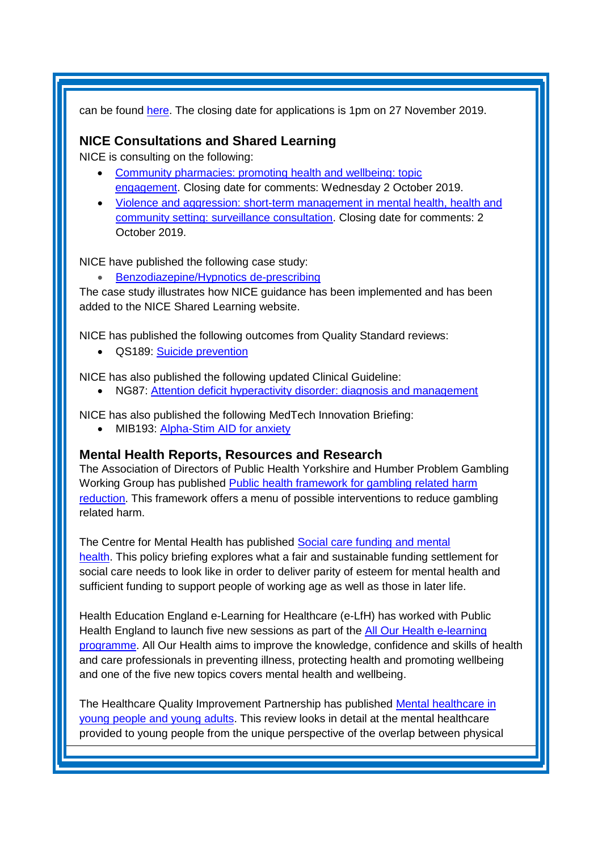can be found [here.](https://www.nihr.ac.uk/documents/1994-perinatal-mental-health-commissioning-brief/21519) The closing date for applications is 1pm on 27 November 2019.

## **NICE Consultations and Shared Learning**

NICE is consulting on the following:

- [Community pharmacies: promoting health and wellbeing: topic](https://www.nice.org.uk/guidance/indevelopment/gid-qs10115/consultation/html-content-2)  [engagement.](https://www.nice.org.uk/guidance/indevelopment/gid-qs10115/consultation/html-content-2) Closing date for comments: Wednesday 2 October 2019.
- Violence and aggression: short-term management in mental health, health and [community setting: surveillance consultation.](https://www.nice.org.uk/guidance/ng10/consultation/html-content) Closing date for comments: 2 October 2019.

NICE have published the following case study:

• [Benzodiazepine/Hypnotics de-prescribing](https://www.nice.org.uk/sharedlearning/benzodiazepine-hypnotics-deprescribing)

The case study illustrates how NICE guidance has been implemented and has been added to the NICE Shared Learning website.

NICE has published the following outcomes from Quality Standard reviews:

• QS189: [Suicide prevention](https://www.nice.org.uk/guidance/qs189)

NICE has also published the following updated Clinical Guideline:

• NG87: [Attention deficit hyperactivity disorder: diagnosis and management](https://www.nice.org.uk/guidance/ng87)

NICE has also published the following MedTech Innovation Briefing:

• MIB193: [Alpha-Stim AID for anxiety](https://www.nice.org.uk/advice/mib193)

### **Mental Health Reports, Resources and Research**

The Association of Directors of Public Health Yorkshire and Humber Problem Gambling Working Group has published [Public health framework for gambling related harm](https://www.yhphnetwork.co.uk/news/new-public-health-framework-for-gambling-related-harm-reduction-published/)  [reduction.](https://www.yhphnetwork.co.uk/news/new-public-health-framework-for-gambling-related-harm-reduction-published/) This framework offers a menu of possible interventions to reduce gambling related harm.

The Centre for Mental Health has published Social care funding and mental [health.](https://www.centreformentalhealth.org.uk/social-care-funding-and-mental-health) This policy briefing explores what a fair and sustainable funding settlement for social care needs to look like in order to deliver parity of esteem for mental health and sufficient funding to support people of working age as well as those in later life.

Health Education England e-Learning for Healthcare (e-LfH) has worked with Public Health England to launch five new sessions as part of the [All Our Health e-learning](https://www.e-lfh.org.uk/8864-2/)  [programme.](https://www.e-lfh.org.uk/8864-2/) All Our Health aims to improve the knowledge, confidence and skills of health and care professionals in preventing illness, protecting health and promoting wellbeing and one of the five new topics covers mental health and wellbeing.

The Healthcare Quality Improvement Partnership has published [Mental healthcare in](https://www.hqip.org.uk/resource/mental-healthcare-in-young-people-and-young-adults/#.XXtdsfBKhaQ)  [young people and young adults.](https://www.hqip.org.uk/resource/mental-healthcare-in-young-people-and-young-adults/#.XXtdsfBKhaQ) This review looks in detail at the mental healthcare provided to young people from the unique perspective of the overlap between physical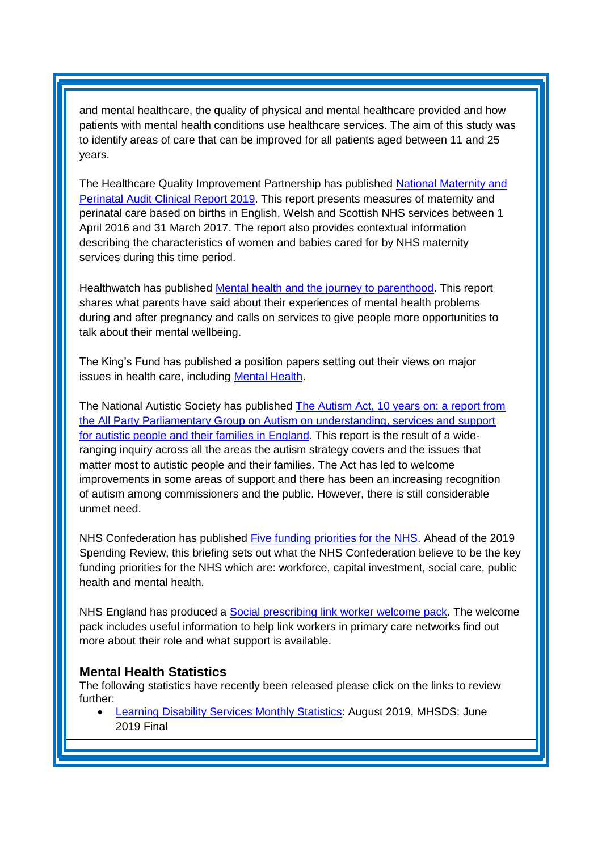and mental healthcare, the quality of physical and mental healthcare provided and how patients with mental health conditions use healthcare services. The aim of this study was to identify areas of care that can be improved for all patients aged between 11 and 25 years.

The Healthcare Quality Improvement Partnership has published [National Maternity and](https://www.hqip.org.uk/resource/national-maternity-and-perinatal-audit-nmpa-clinical-report-2019/#.XYCmL_BKhaR)  [Perinatal Audit Clinical Report 2019.](https://www.hqip.org.uk/resource/national-maternity-and-perinatal-audit-nmpa-clinical-report-2019/#.XYCmL_BKhaR) This report presents measures of maternity and perinatal care based on births in English, Welsh and Scottish NHS services between 1 April 2016 and 31 March 2017. The report also provides contextual information describing the characteristics of women and babies cared for by NHS maternity services during this time period.

Healthwatch has published [Mental health and the journey to parenthood.](https://www.healthwatch.co.uk/report/2019-09-09/mental-health-and-journey-parenthood) This report shares what parents have said about their experiences of mental health problems during and after pregnancy and calls on services to give people more opportunities to talk about their mental wellbeing.

The King's Fund has published a position papers setting out their views on major issues in health care, including [Mental Health.](https://www.kingsfund.org.uk/projects/positions/mental-health)

The National Autistic Society has published [The Autism Act, 10 years on: a report from](https://www.autism.org.uk/~/media/nas/get-involved/media-centre/newsdocs/nas_appga_report_september_2019.ashx?la=en-gb)  [the All Party Parliamentary Group on Autism on understanding, services and support](https://www.autism.org.uk/~/media/nas/get-involved/media-centre/newsdocs/nas_appga_report_september_2019.ashx?la=en-gb)  [for autistic people and their families in England.](https://www.autism.org.uk/~/media/nas/get-involved/media-centre/newsdocs/nas_appga_report_september_2019.ashx?la=en-gb) This report is the result of a wideranging inquiry across all the areas the autism strategy covers and the issues that matter most to autistic people and their families. The Act has led to welcome improvements in some areas of support and there has been an increasing recognition of autism among commissioners and the public. However, there is still considerable unmet need.

NHS Confederation has published [Five funding priorities for the NHS.](https://www.nhsconfed.org/resources/2019/09/five-funding-priorities-for-health) Ahead of the 2019 Spending Review, this briefing sets out what the NHS Confederation believe to be the key funding priorities for the NHS which are: workforce, capital investment, social care, public health and mental health.

NHS England has produced a [Social prescribing link worker welcome pack.](https://www.england.nhs.uk/publication/social-prescribing-link-worker-welcome-pack/) The welcome pack includes useful information to help link workers in primary care networks find out more about their role and what support is available.

#### <span id="page-5-0"></span>**Mental Health Statistics**

The following statistics have recently been released please click on the links to review further:

<span id="page-5-1"></span>**[Learning Disability Services Monthly Statistics:](https://digital.nhs.uk/data-and-information/publications/statistical/learning-disability-services-statistics/at-august-2019-mhsds-june-2019-final) August 2019, MHSDS: June** 2019 Final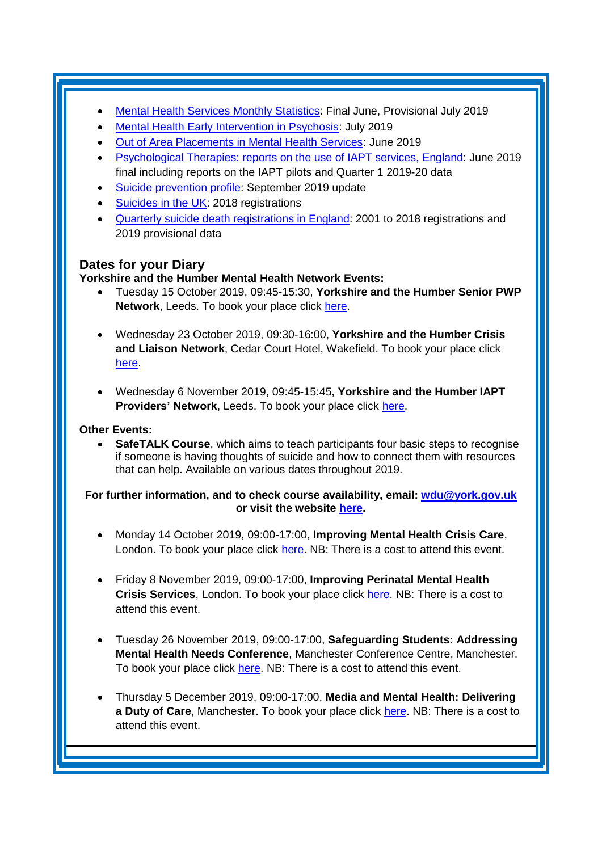- [Mental Health Services Monthly Statistics:](https://digital.nhs.uk/data-and-information/publications/statistical/mental-health-services-monthly-statistics/final-june-provisional-july-2019) Final June, Provisional July 2019
- [Mental Health Early Intervention in Psychosis:](https://www.gov.uk/government/statistics/mental-health-early-intervention-in-psychosis-for-july-2019--2) July 2019
- [Out of Area Placements in Mental Health Services:](https://digital.nhs.uk/data-and-information/publications/statistical/out-of-area-placements-in-mental-health-services/june-2019) June 2019
- [Psychological Therapies: reports on the use of IAPT services, England:](https://digital.nhs.uk/data-and-information/publications/statistical/psychological-therapies-report-on-the-use-of-iapt-services/june-2019-final-including-reports-on-the-iapt-pilots-and-quarter-1-2019-20-data) June 2019 final including reports on the IAPT pilots and Quarter 1 2019-20 data
- [Suicide prevention profile:](https://www.gov.uk/government/statistics/suicide-prevention-profile-september-2019-update) September 2019 update
- [Suicides in the UK:](https://www.gov.uk/government/statistics/suicides-in-the-uk-2018-registrations) 2018 registrations
- Quarterly [suicide death registrations in England:](https://www.gov.uk/government/statistics/quarterly-suicide-death-registrations-in-england-2001-to-2018-registrations-and-2019-provisional-data) 2001 to 2018 registrations and 2019 provisional data

## **Dates for your Diary**

### **Yorkshire and the Humber Mental Health Network Events:**

- Tuesday 15 October 2019, 09:45-15:30, **Yorkshire and the Humber Senior PWP Network**, Leeds. To book your place click [here.](https://www.eventbrite.co.uk/e/yorkshire-and-the-humber-senior-pwp-network-tickets-69182076453)
- Wednesday 23 October 2019, 09:30-16:00, **Yorkshire and the Humber Crisis and Liaison Network**, Cedar Court Hotel, Wakefield. To book your place click [here.](https://www.eventbrite.co.uk/e/yorkshire-and-the-humber-crisis-and-liaison-mental-health-network-meeting-tickets-65170023294)
- Wednesday 6 November 2019, 09:45-15:45, **Yorkshire and the Humber IAPT Providers' Network**, Leeds. To book your place click [here.](https://www.eventbrite.co.uk/e/yorkshire-and-the-humber-iapt-providers-network-tickets-69181406449)

#### **Other Events:**

• **SafeTALK Course**, which aims to teach participants four basic steps to recognise if someone is having thoughts of suicide and how to connect them with resources that can help. Available on various dates throughout 2019.

#### **For further information, and to check course availability, email: [wdu@york.gov.uk](mailto:wdu@york.gov.uk) or visit the website [here.](http://www.yorkworkforcedevelopment.org.uk/)**

- Monday 14 October 2019, 09:00-17:00, **Improving Mental Health Crisis Care**, London. To book your place click [here.](https://www.healthcareconferencesuk.co.uk/conferences-masterclasses/improving-mental-health-crisis-care?utm_medium=email&utm_source=HCUKkt&utm_campaign=MentalCrisis1019) NB: There is a cost to attend this event.
- Friday 8 November 2019, 09:00-17:00, **Improving Perinatal Mental Health Crisis Services**, London. To book your place click [here.](https://www.healthcareconferencesuk.co.uk/event/1437/book) NB: There is a cost to attend this event.
- Tuesday 26 November 2019, 09:00-17:00, **Safeguarding Students: Addressing Mental Health Needs Conference**, Manchester Conference Centre, Manchester. To book your place click [here.](https://www.openforumevents.co.uk/events/2019/safeguarding-students-addressing-mental-health-needs/#book?utm_source=OFE+S3+SSMH+WC+01.07.2019+4+NHS&utm_medium=email&utm_campaign=OFE+S3+SSMH+WC+01.07.2019) NB: There is a cost to attend this event.
- Thursday 5 December 2019, 09:00-17:00, **Media and Mental Health: Delivering a Duty of Care**, Manchester. To book your place click [here.](https://www.openforumevents.co.uk/events/2019/media-mental-health-delivering-a-duty-of-care/#book?utm_source=OFE+S3+MMH19+WC+19.08.2019+4+NHS&utm_medium=email&utm_campaign=OFE+S3+MMH19+WC+19.08.2019) NB: There is a cost to attend this event.